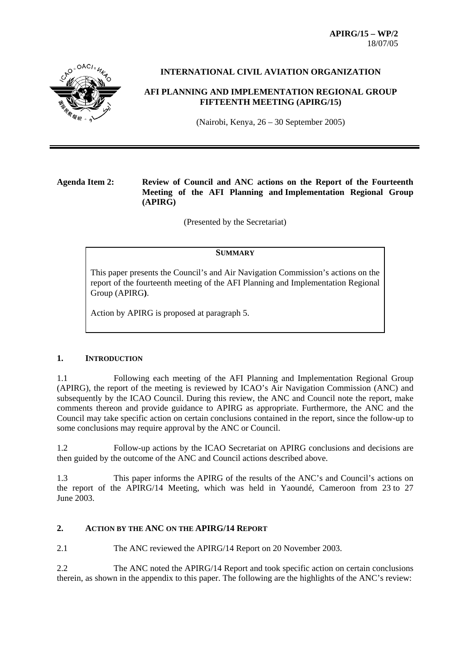**APIRG/15 – WP/2**  18/07/05



## **INTERNATIONAL CIVIL AVIATION ORGANIZATION**

## **AFI PLANNING AND IMPLEMENTATION REGIONAL GROUP FIFTEENTH MEETING (APIRG/15)**

(Nairobi, Kenya, 26 – 30 September 2005)

## **Agenda Item 2: Review of Council and ANC actions on the Report of the Fourteenth Meeting of the AFI Planning and Implementation Regional Group (APIRG)**

(Presented by the Secretariat)

#### **SUMMARY**

This paper presents the Council's and Air Navigation Commission's actions on the report of the fourteenth meeting of the AFI Planning and Implementation Regional Group (APIRG**)**.

Action by APIRG is proposed at paragraph 5.

### **1. INTRODUCTION**

1.1 Following each meeting of the AFI Planning and Implementation Regional Group (APIRG), the report of the meeting is reviewed by ICAO's Air Navigation Commission (ANC) and subsequently by the ICAO Council. During this review, the ANC and Council note the report, make comments thereon and provide guidance to APIRG as appropriate. Furthermore, the ANC and the Council may take specific action on certain conclusions contained in the report, since the follow-up to some conclusions may require approval by the ANC or Council.

1.2 Follow-up actions by the ICAO Secretariat on APIRG conclusions and decisions are then guided by the outcome of the ANC and Council actions described above.

1.3 This paper informs the APIRG of the results of the ANC's and Council's actions on the report of the APIRG/14 Meeting, which was held in Yaoundé, Cameroon from 23 to 27 June 2003.

### **2. ACTION BY THE ANC ON THE APIRG/14 REPORT**

2.1 The ANC reviewed the APIRG/14 Report on 20 November 2003.

2.2 The ANC noted the APIRG/14 Report and took specific action on certain conclusions therein, as shown in the appendix to this paper. The following are the highlights of the ANC's review: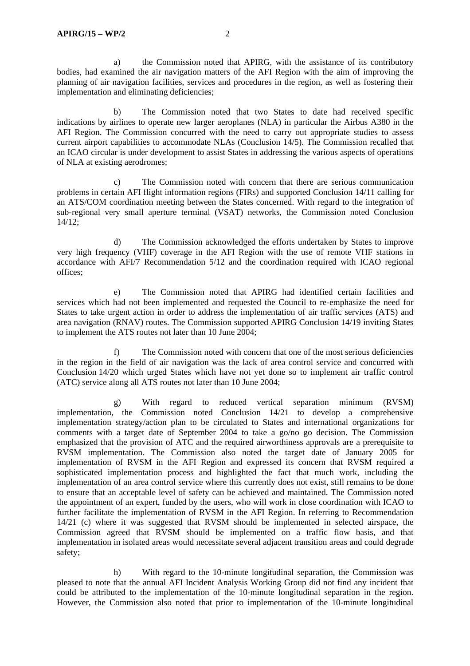a) the Commission noted that APIRG, with the assistance of its contributory bodies, had examined the air navigation matters of the AFI Region with the aim of improving the planning of air navigation facilities, services and procedures in the region, as well as fostering their implementation and eliminating deficiencies;

 b) The Commission noted that two States to date had received specific indications by airlines to operate new larger aeroplanes (NLA) in particular the Airbus A380 in the AFI Region. The Commission concurred with the need to carry out appropriate studies to assess current airport capabilities to accommodate NLAs (Conclusion 14/5). The Commission recalled that an ICAO circular is under development to assist States in addressing the various aspects of operations of NLA at existing aerodromes;

 c) The Commission noted with concern that there are serious communication problems in certain AFI flight information regions (FIRs) and supported Conclusion 14/11 calling for an ATS/COM coordination meeting between the States concerned. With regard to the integration of sub-regional very small aperture terminal (VSAT) networks, the Commission noted Conclusion  $14/12$ ;

 d) The Commission acknowledged the efforts undertaken by States to improve very high frequency (VHF) coverage in the AFI Region with the use of remote VHF stations in accordance with AFI/7 Recommendation 5/12 and the coordination required with ICAO regional offices;

 e) The Commission noted that APIRG had identified certain facilities and services which had not been implemented and requested the Council to re-emphasize the need for States to take urgent action in order to address the implementation of air traffic services (ATS) and area navigation (RNAV) routes. The Commission supported APIRG Conclusion 14/19 inviting States to implement the ATS routes not later than 10 June 2004;

 f) The Commission noted with concern that one of the most serious deficiencies in the region in the field of air navigation was the lack of area control service and concurred with Conclusion 14/20 which urged States which have not yet done so to implement air traffic control (ATC) service along all ATS routes not later than 10 June 2004;

 g) With regard to reduced vertical separation minimum (RVSM) implementation, the Commission noted Conclusion 14/21 to develop a comprehensive implementation strategy/action plan to be circulated to States and international organizations for comments with a target date of September 2004 to take a go/no go decision. The Commission emphasized that the provision of ATC and the required airworthiness approvals are a prerequisite to RVSM implementation. The Commission also noted the target date of January 2005 for implementation of RVSM in the AFI Region and expressed its concern that RVSM required a sophisticated implementation process and highlighted the fact that much work, including the implementation of an area control service where this currently does not exist, still remains to be done to ensure that an acceptable level of safety can be achieved and maintained. The Commission noted the appointment of an expert, funded by the users, who will work in close coordination with ICAO to further facilitate the implementation of RVSM in the AFI Region. In referring to Recommendation 14/21 (c) where it was suggested that RVSM should be implemented in selected airspace, the Commission agreed that RVSM should be implemented on a traffic flow basis, and that implementation in isolated areas would necessitate several adjacent transition areas and could degrade safety;

 h) With regard to the 10-minute longitudinal separation, the Commission was pleased to note that the annual AFI Incident Analysis Working Group did not find any incident that could be attributed to the implementation of the 10-minute longitudinal separation in the region. However, the Commission also noted that prior to implementation of the 10-minute longitudinal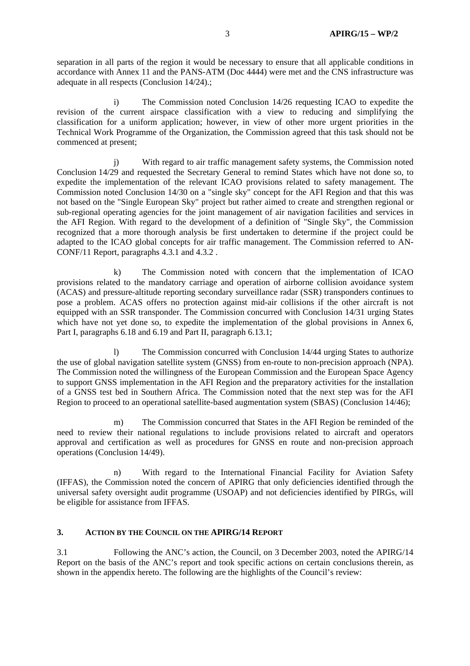separation in all parts of the region it would be necessary to ensure that all applicable conditions in accordance with Annex 11 and the PANS-ATM (Doc 4444) were met and the CNS infrastructure was adequate in all respects (Conclusion 14/24).;

 i) The Commission noted Conclusion 14/26 requesting ICAO to expedite the revision of the current airspace classification with a view to reducing and simplifying the classification for a uniform application; however, in view of other more urgent priorities in the Technical Work Programme of the Organization, the Commission agreed that this task should not be commenced at present;

j) With regard to air traffic management safety systems, the Commission noted Conclusion 14/29 and requested the Secretary General to remind States which have not done so, to expedite the implementation of the relevant ICAO provisions related to safety management. The Commission noted Conclusion 14/30 on a "single sky" concept for the AFI Region and that this was not based on the "Single European Sky" project but rather aimed to create and strengthen regional or sub-regional operating agencies for the joint management of air navigation facilities and services in the AFI Region. With regard to the development of a definition of "Single Sky", the Commission recognized that a more thorough analysis be first undertaken to determine if the project could be adapted to the ICAO global concepts for air traffic management. The Commission referred to AN-CONF/11 Report, paragraphs 4.3.1 and 4.3.2 .

k) The Commission noted with concern that the implementation of ICAO provisions related to the mandatory carriage and operation of airborne collision avoidance system (ACAS) and pressure-altitude reporting secondary surveillance radar (SSR) transponders continues to pose a problem. ACAS offers no protection against mid-air collisions if the other aircraft is not equipped with an SSR transponder. The Commission concurred with Conclusion 14/31 urging States which have not yet done so, to expedite the implementation of the global provisions in Annex 6, Part I, paragraphs 6.18 and 6.19 and Part II, paragraph 6.13.1;

 l) The Commission concurred with Conclusion 14/44 urging States to authorize the use of global navigation satellite system (GNSS) from en-route to non-precision approach (NPA). The Commission noted the willingness of the European Commission and the European Space Agency to support GNSS implementation in the AFI Region and the preparatory activities for the installation of a GNSS test bed in Southern Africa. The Commission noted that the next step was for the AFI Region to proceed to an operational satellite-based augmentation system (SBAS) (Conclusion 14/46);

 m) The Commission concurred that States in the AFI Region be reminded of the need to review their national regulations to include provisions related to aircraft and operators approval and certification as well as procedures for GNSS en route and non-precision approach operations (Conclusion 14/49).

 n) With regard to the International Financial Facility for Aviation Safety (IFFAS), the Commission noted the concern of APIRG that only deficiencies identified through the universal safety oversight audit programme (USOAP) and not deficiencies identified by PIRGs, will be eligible for assistance from IFFAS.

## **3. ACTION BY THE COUNCIL ON THE APIRG/14 REPORT**

3.1 Following the ANC's action, the Council, on 3 December 2003, noted the APIRG/14 Report on the basis of the ANC's report and took specific actions on certain conclusions therein, as shown in the appendix hereto. The following are the highlights of the Council's review: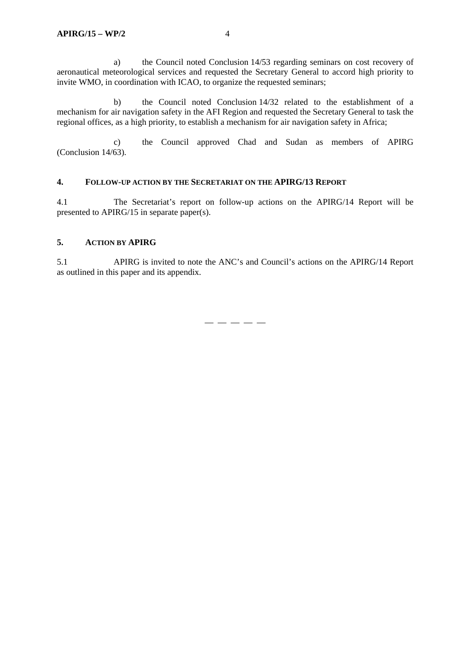a) the Council noted Conclusion 14/53 regarding seminars on cost recovery of aeronautical meteorological services and requested the Secretary General to accord high priority to invite WMO, in coordination with ICAO, to organize the requested seminars;

 b) the Council noted Conclusion 14/32 related to the establishment of a mechanism for air navigation safety in the AFI Region and requested the Secretary General to task the regional offices, as a high priority, to establish a mechanism for air navigation safety in Africa;

 c) the Council approved Chad and Sudan as members of APIRG (Conclusion 14/63).

### **4. FOLLOW-UP ACTION BY THE SECRETARIAT ON THE APIRG/13 REPORT**

4.1 The Secretariat's report on follow-up actions on the APIRG/14 Report will be presented to APIRG/15 in separate paper(s).

### **5. ACTION BY APIRG**

5.1 APIRG is invited to note the ANC's and Council's actions on the APIRG/14 Report as outlined in this paper and its appendix.

— — — — —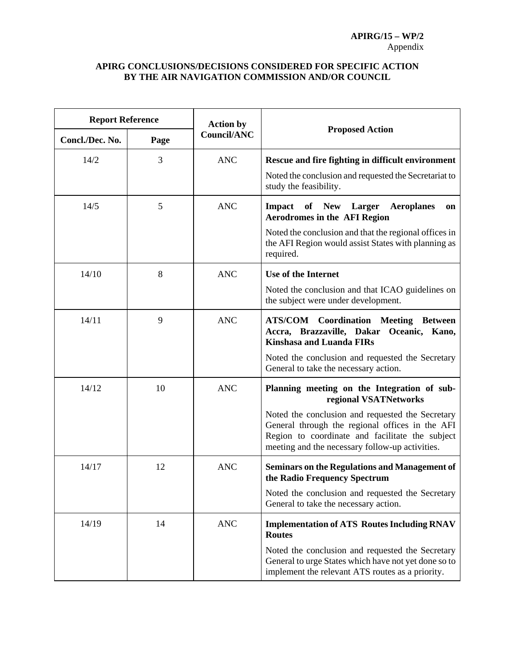# **APIRG CONCLUSIONS/DECISIONS CONSIDERED FOR SPECIFIC ACTION BY THE AIR NAVIGATION COMMISSION AND/OR COUNCIL**

| <b>Report Reference</b> |      | <b>Action by</b>   |                                                                                                                                                                                                                                                                                   |
|-------------------------|------|--------------------|-----------------------------------------------------------------------------------------------------------------------------------------------------------------------------------------------------------------------------------------------------------------------------------|
| Concl./Dec. No.         | Page | <b>Council/ANC</b> | <b>Proposed Action</b>                                                                                                                                                                                                                                                            |
| 14/2                    | 3    | <b>ANC</b>         | Rescue and fire fighting in difficult environment<br>Noted the conclusion and requested the Secretariat to<br>study the feasibility.                                                                                                                                              |
| 14/5                    | 5    | <b>ANC</b>         | of New Larger<br><b>Aeroplanes</b><br><b>Impact</b><br>on<br><b>Aerodromes in the AFI Region</b><br>Noted the conclusion and that the regional offices in<br>the AFI Region would assist States with planning as<br>required.                                                     |
| 14/10                   | 8    | <b>ANC</b>         | Use of the Internet<br>Noted the conclusion and that ICAO guidelines on<br>the subject were under development.                                                                                                                                                                    |
| 14/11                   | 9    | <b>ANC</b>         | <b>ATS/COM</b> Coordination Meeting Between<br>Accra, Brazzaville, Dakar Oceanic, Kano,<br><b>Kinshasa and Luanda FIRs</b><br>Noted the conclusion and requested the Secretary<br>General to take the necessary action.                                                           |
| 14/12                   | 10   | <b>ANC</b>         | Planning meeting on the Integration of sub-<br>regional VSATNetworks<br>Noted the conclusion and requested the Secretary<br>General through the regional offices in the AFI<br>Region to coordinate and facilitate the subject<br>meeting and the necessary follow-up activities. |
| 14/17                   | 12   | <b>ANC</b>         | <b>Seminars on the Regulations and Management of</b><br>the Radio Frequency Spectrum<br>Noted the conclusion and requested the Secretary<br>General to take the necessary action.                                                                                                 |
| 14/19                   | 14   | <b>ANC</b>         | <b>Implementation of ATS Routes Including RNAV</b><br><b>Routes</b><br>Noted the conclusion and requested the Secretary<br>General to urge States which have not yet done so to<br>implement the relevant ATS routes as a priority.                                               |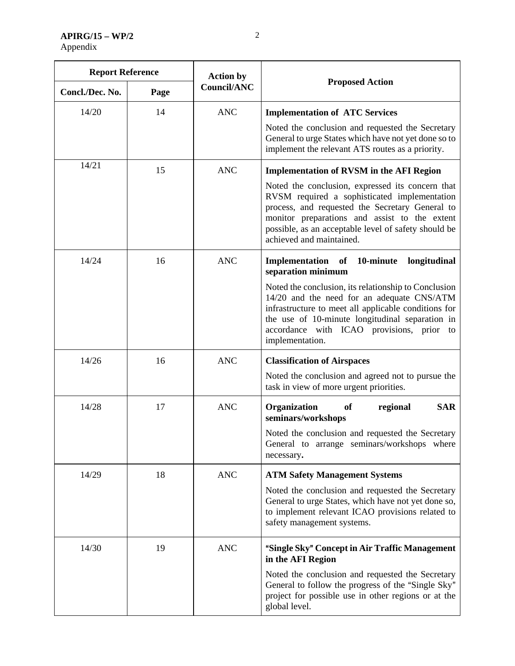**APIRG/15 – WP/2**  Appendix

| <b>Report Reference</b> |      | <b>Action by</b>   |                                                                                                                                                                                                                                                                                                                                                          |
|-------------------------|------|--------------------|----------------------------------------------------------------------------------------------------------------------------------------------------------------------------------------------------------------------------------------------------------------------------------------------------------------------------------------------------------|
| Concl./Dec. No.         | Page | <b>Council/ANC</b> | <b>Proposed Action</b>                                                                                                                                                                                                                                                                                                                                   |
| 14/20                   | 14   | <b>ANC</b>         | <b>Implementation of ATC Services</b><br>Noted the conclusion and requested the Secretary<br>General to urge States which have not yet done so to<br>implement the relevant ATS routes as a priority.                                                                                                                                                    |
| 14/21                   | 15   | <b>ANC</b>         | <b>Implementation of RVSM in the AFI Region</b><br>Noted the conclusion, expressed its concern that<br>RVSM required a sophisticated implementation<br>process, and requested the Secretary General to<br>monitor preparations and assist to the extent<br>possible, as an acceptable level of safety should be<br>achieved and maintained.              |
| 14/24                   | 16   | <b>ANC</b>         | Implementation<br>10-minute<br>longitudinal<br>of<br>separation minimum<br>Noted the conclusion, its relationship to Conclusion<br>14/20 and the need for an adequate CNS/ATM<br>infrastructure to meet all applicable conditions for<br>the use of 10-minute longitudinal separation in<br>accordance with ICAO provisions, prior to<br>implementation. |
| 14/26                   | 16   | <b>ANC</b>         | <b>Classification of Airspaces</b><br>Noted the conclusion and agreed not to pursue the<br>task in view of more urgent priorities.                                                                                                                                                                                                                       |
| 14/28                   | 17   | <b>ANC</b>         | <b>SAR</b><br>Organization<br><b>of</b><br>regional<br>seminars/workshops<br>Noted the conclusion and requested the Secretary<br>General to arrange seminars/workshops where<br>necessary.                                                                                                                                                               |
| 14/29                   | 18   | <b>ANC</b>         | <b>ATM Safety Management Systems</b><br>Noted the conclusion and requested the Secretary<br>General to urge States, which have not yet done so,<br>to implement relevant ICAO provisions related to<br>safety management systems.                                                                                                                        |
| 14/30                   | 19   | <b>ANC</b>         | "Single Sky" Concept in Air Traffic Management<br>in the AFI Region<br>Noted the conclusion and requested the Secretary<br>General to follow the progress of the "Single Sky"<br>project for possible use in other regions or at the<br>global level.                                                                                                    |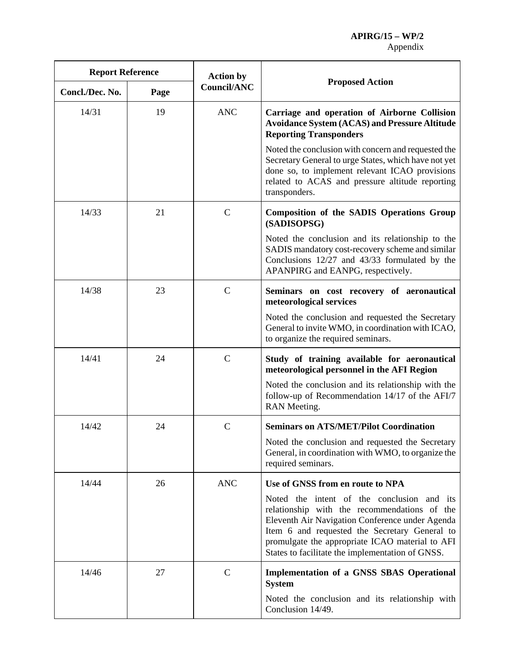| <b>Report Reference</b> |      | <b>Action by</b>   |                                                                                                                                                                                                                                                                                                       |
|-------------------------|------|--------------------|-------------------------------------------------------------------------------------------------------------------------------------------------------------------------------------------------------------------------------------------------------------------------------------------------------|
| Concl./Dec. No.         | Page | <b>Council/ANC</b> | <b>Proposed Action</b>                                                                                                                                                                                                                                                                                |
| 14/31                   | 19   | <b>ANC</b>         | Carriage and operation of Airborne Collision<br><b>Avoidance System (ACAS) and Pressure Altitude</b><br><b>Reporting Transponders</b>                                                                                                                                                                 |
|                         |      |                    | Noted the conclusion with concern and requested the<br>Secretary General to urge States, which have not yet<br>done so, to implement relevant ICAO provisions<br>related to ACAS and pressure altitude reporting<br>transponders.                                                                     |
| 14/33                   | 21   | $\mathsf{C}$       | <b>Composition of the SADIS Operations Group</b><br>(SADISOPSG)                                                                                                                                                                                                                                       |
|                         |      |                    | Noted the conclusion and its relationship to the<br>SADIS mandatory cost-recovery scheme and similar<br>Conclusions 12/27 and 43/33 formulated by the<br>APANPIRG and EANPG, respectively.                                                                                                            |
| 14/38                   | 23   | $\mathsf{C}$       | Seminars on cost recovery of aeronautical<br>meteorological services                                                                                                                                                                                                                                  |
|                         |      |                    | Noted the conclusion and requested the Secretary<br>General to invite WMO, in coordination with ICAO,<br>to organize the required seminars.                                                                                                                                                           |
| 14/41                   | 24   | $\mathbf C$        | Study of training available for aeronautical<br>meteorological personnel in the AFI Region                                                                                                                                                                                                            |
|                         |      |                    | Noted the conclusion and its relationship with the<br>follow-up of Recommendation 14/17 of the AFI/7<br>RAN Meeting.                                                                                                                                                                                  |
| 14/42                   | 24   | $\mathbf C$        | <b>Seminars on ATS/MET/Pilot Coordination</b>                                                                                                                                                                                                                                                         |
|                         |      |                    | Noted the conclusion and requested the Secretary<br>General, in coordination with WMO, to organize the<br>required seminars.                                                                                                                                                                          |
| 14/44                   | 26   | <b>ANC</b>         | Use of GNSS from en route to NPA                                                                                                                                                                                                                                                                      |
|                         |      |                    | Noted the intent of the conclusion and its<br>relationship with the recommendations of the<br>Eleventh Air Navigation Conference under Agenda<br>Item 6 and requested the Secretary General to<br>promulgate the appropriate ICAO material to AFI<br>States to facilitate the implementation of GNSS. |
| 14/46                   | 27   | $\mathbf C$        | <b>Implementation of a GNSS SBAS Operational</b><br><b>System</b>                                                                                                                                                                                                                                     |
|                         |      |                    | Noted the conclusion and its relationship with<br>Conclusion 14/49.                                                                                                                                                                                                                                   |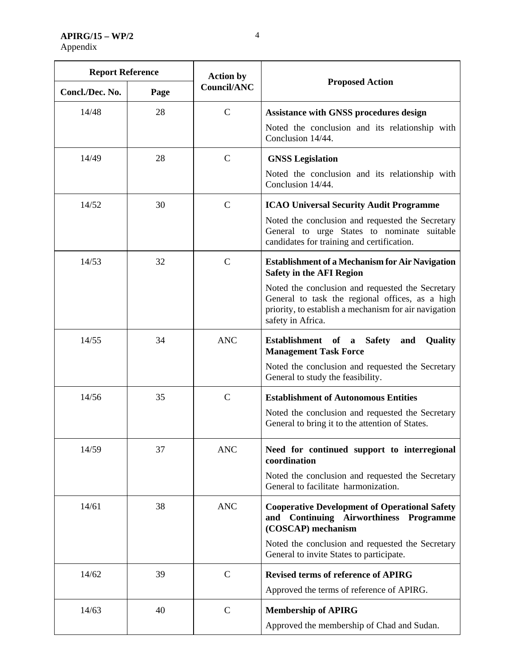**APIRG/15 – WP/2**  Appendix

| <b>Report Reference</b> |      | <b>Action by</b>   |                                                                                                                                                                                                                                                                                |
|-------------------------|------|--------------------|--------------------------------------------------------------------------------------------------------------------------------------------------------------------------------------------------------------------------------------------------------------------------------|
| Concl./Dec. No.         | Page | <b>Council/ANC</b> | <b>Proposed Action</b>                                                                                                                                                                                                                                                         |
| 14/48                   | 28   | $\mathsf{C}$       | <b>Assistance with GNSS procedures design</b><br>Noted the conclusion and its relationship with<br>Conclusion 14/44.                                                                                                                                                           |
| 14/49                   | 28   | $\mathbf C$        | <b>GNSS Legislation</b><br>Noted the conclusion and its relationship with<br>Conclusion 14/44.                                                                                                                                                                                 |
| 14/52                   | 30   | $\mathbf C$        | <b>ICAO Universal Security Audit Programme</b><br>Noted the conclusion and requested the Secretary<br>General to urge States to nominate suitable<br>candidates for training and certification.                                                                                |
| 14/53                   | 32   | $\mathbf C$        | <b>Establishment of a Mechanism for Air Navigation</b><br><b>Safety in the AFI Region</b><br>Noted the conclusion and requested the Secretary<br>General to task the regional offices, as a high<br>priority, to establish a mechanism for air navigation<br>safety in Africa. |
| 14/55                   | 34   | <b>ANC</b>         | Establishment of<br><b>Safety</b><br>and<br>Quality<br>$\mathbf a$<br><b>Management Task Force</b><br>Noted the conclusion and requested the Secretary<br>General to study the feasibility.                                                                                    |
| 14/56                   | 35   | $\mathbf C$        | <b>Establishment of Autonomous Entities</b><br>Noted the conclusion and requested the Secretary<br>General to bring it to the attention of States.                                                                                                                             |
| 14/59                   | 37   | <b>ANC</b>         | Need for continued support to interregional<br>coordination<br>Noted the conclusion and requested the Secretary<br>General to facilitate harmonization.                                                                                                                        |
| 14/61                   | 38   | <b>ANC</b>         | <b>Cooperative Development of Operational Safety</b><br>and Continuing Airworthiness Programme<br>(COSCAP) mechanism<br>Noted the conclusion and requested the Secretary<br>General to invite States to participate.                                                           |
| 14/62                   | 39   | $\mathbf C$        | <b>Revised terms of reference of APIRG</b><br>Approved the terms of reference of APIRG.                                                                                                                                                                                        |
| 14/63                   | 40   | $\mathbf C$        | <b>Membership of APIRG</b><br>Approved the membership of Chad and Sudan.                                                                                                                                                                                                       |